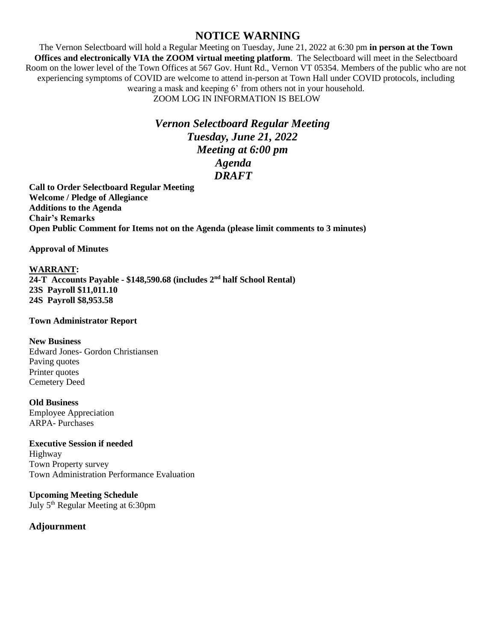## **NOTICE WARNING**

The Vernon Selectboard will hold a Regular Meeting on Tuesday, June 21, 2022 at 6:30 pm **in person at the Town Offices and electronically VIA the ZOOM virtual meeting platform**. The Selectboard will meet in the Selectboard Room on the lower level of the Town Offices at 567 Gov. Hunt Rd., Vernon VT 05354. Members of the public who are not experiencing symptoms of COVID are welcome to attend in-person at Town Hall under COVID protocols, including wearing a mask and keeping 6' from others not in your household. ZOOM LOG IN INFORMATION IS BELOW

> *Vernon Selectboard Regular Meeting Tuesday, June 21, 2022 Meeting at 6:00 pm Agenda DRAFT*

**Call to Order Selectboard Regular Meeting Welcome / Pledge of Allegiance Additions to the Agenda Chair's Remarks Open Public Comment for Items not on the Agenda (please limit comments to 3 minutes)**

**Approval of Minutes** 

## **WARRANT:**

**24-T Accounts Payable - \$148,590.68 (includes 2nd half School Rental) 23S Payroll \$11,011.10 24S Payroll \$8,953.58**

## **Town Administrator Report**

## **New Business**

Edward Jones- Gordon Christiansen Paving quotes Printer quotes Cemetery Deed

**Old Business**  Employee Appreciation ARPA- Purchases

**Executive Session if needed** Highway Town Property survey Town Administration Performance Evaluation

**Upcoming Meeting Schedule** July 5th Regular Meeting at 6:30pm

**Adjournment**